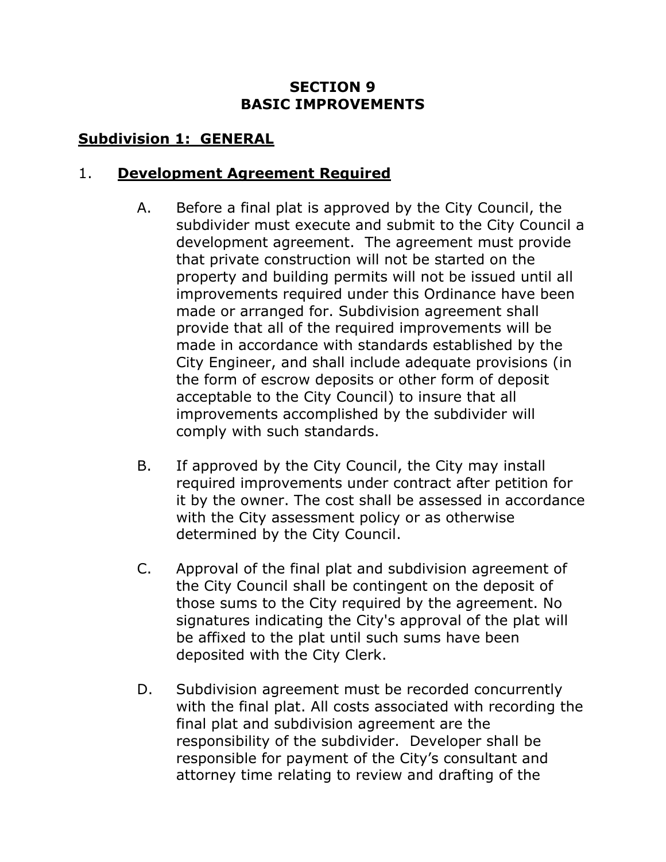#### **SECTION 9 BASIC IMPROVEMENTS**

#### **Subdivision 1: GENERAL**

#### 1. **Development Agreement Required**

- A. Before a final plat is approved by the City Council, the subdivider must execute and submit to the City Council a development agreement. The agreement must provide that private construction will not be started on the property and building permits will not be issued until all improvements required under this Ordinance have been made or arranged for. Subdivision agreement shall provide that all of the required improvements will be made in accordance with standards established by the City Engineer, and shall include adequate provisions (in the form of escrow deposits or other form of deposit acceptable to the City Council) to insure that all improvements accomplished by the subdivider will comply with such standards.
- B. If approved by the City Council, the City may install required improvements under contract after petition for it by the owner. The cost shall be assessed in accordance with the City assessment policy or as otherwise determined by the City Council.
- C. Approval of the final plat and subdivision agreement of the City Council shall be contingent on the deposit of those sums to the City required by the agreement. No signatures indicating the City's approval of the plat will be affixed to the plat until such sums have been deposited with the City Clerk.
- D. Subdivision agreement must be recorded concurrently with the final plat. All costs associated with recording the final plat and subdivision agreement are the responsibility of the subdivider. Developer shall be responsible for payment of the City's consultant and attorney time relating to review and drafting of the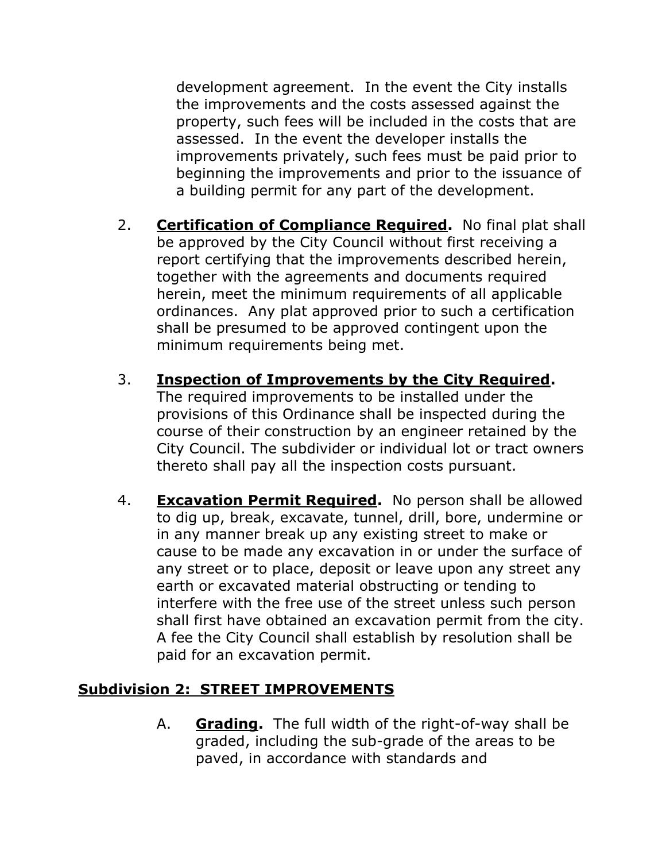development agreement. In the event the City installs the improvements and the costs assessed against the property, such fees will be included in the costs that are assessed. In the event the developer installs the improvements privately, such fees must be paid prior to beginning the improvements and prior to the issuance of a building permit for any part of the development.

- 2. **Certification of Compliance Required.** No final plat shall be approved by the City Council without first receiving a report certifying that the improvements described herein, together with the agreements and documents required herein, meet the minimum requirements of all applicable ordinances. Any plat approved prior to such a certification shall be presumed to be approved contingent upon the minimum requirements being met.
- 3. **Inspection of Improvements by the City Required.** The required improvements to be installed under the provisions of this Ordinance shall be inspected during the course of their construction by an engineer retained by the City Council. The subdivider or individual lot or tract owners thereto shall pay all the inspection costs pursuant.
- 4. **Excavation Permit Required.** No person shall be allowed to dig up, break, excavate, tunnel, drill, bore, undermine or in any manner break up any existing street to make or cause to be made any excavation in or under the surface of any street or to place, deposit or leave upon any street any earth or excavated material obstructing or tending to interfere with the free use of the street unless such person shall first have obtained an excavation permit from the city. A fee the City Council shall establish by resolution shall be paid for an excavation permit.

## **Subdivision 2: STREET IMPROVEMENTS**

A. **Grading.** The full width of the right-of-way shall be graded, including the sub-grade of the areas to be paved, in accordance with standards and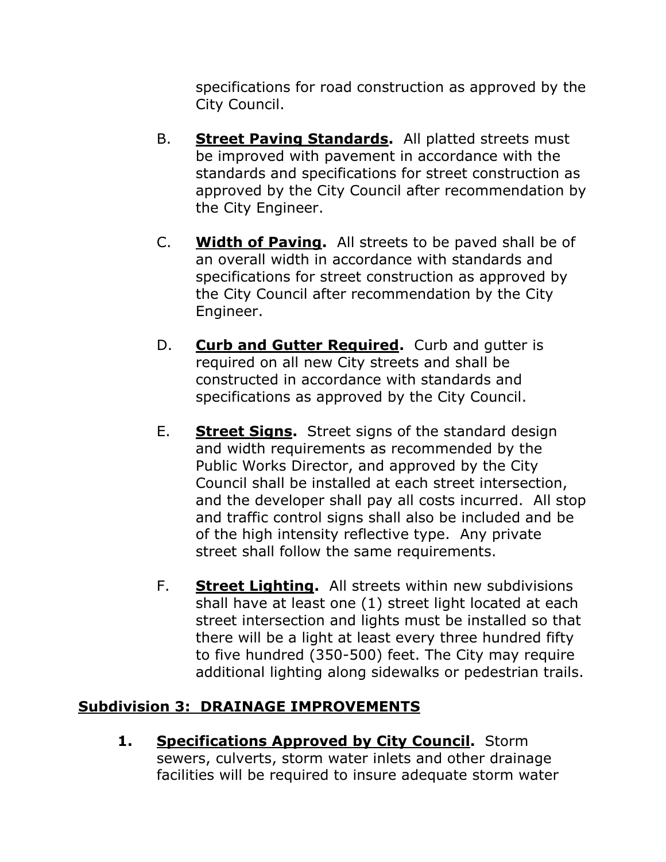specifications for road construction as approved by the City Council.

- B. **Street Paving Standards.** All platted streets must be improved with pavement in accordance with the standards and specifications for street construction as approved by the City Council after recommendation by the City Engineer.
- C. **Width of Paving.** All streets to be paved shall be of an overall width in accordance with standards and specifications for street construction as approved by the City Council after recommendation by the City Engineer.
- D. **Curb and Gutter Required.** Curb and gutter is required on all new City streets and shall be constructed in accordance with standards and specifications as approved by the City Council.
- E. **Street Signs.** Street signs of the standard design and width requirements as recommended by the Public Works Director, and approved by the City Council shall be installed at each street intersection, and the developer shall pay all costs incurred. All stop and traffic control signs shall also be included and be of the high intensity reflective type. Any private street shall follow the same requirements.
- F. **Street Lighting.** All streets within new subdivisions shall have at least one (1) street light located at each street intersection and lights must be installed so that there will be a light at least every three hundred fifty to five hundred (350-500) feet. The City may require additional lighting along sidewalks or pedestrian trails.

#### **Subdivision 3: DRAINAGE IMPROVEMENTS**

**1. Specifications Approved by City Council.** Storm sewers, culverts, storm water inlets and other drainage facilities will be required to insure adequate storm water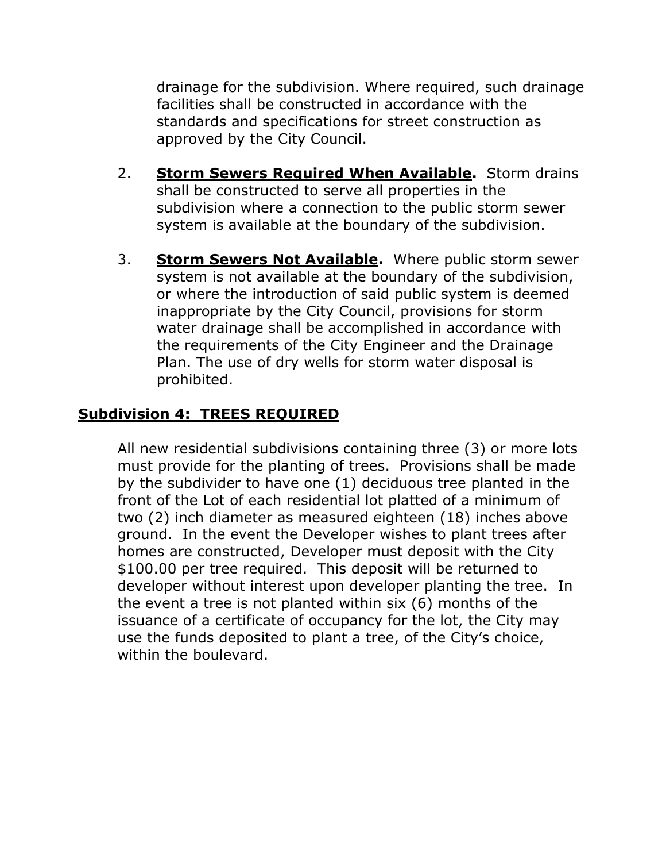drainage for the subdivision. Where required, such drainage facilities shall be constructed in accordance with the standards and specifications for street construction as approved by the City Council.

- 2. **Storm Sewers Required When Available.** Storm drains shall be constructed to serve all properties in the subdivision where a connection to the public storm sewer system is available at the boundary of the subdivision.
- 3. **Storm Sewers Not Available.** Where public storm sewer system is not available at the boundary of the subdivision, or where the introduction of said public system is deemed inappropriate by the City Council, provisions for storm water drainage shall be accomplished in accordance with the requirements of the City Engineer and the Drainage Plan. The use of dry wells for storm water disposal is prohibited.

### **Subdivision 4: TREES REQUIRED**

All new residential subdivisions containing three (3) or more lots must provide for the planting of trees. Provisions shall be made by the subdivider to have one (1) deciduous tree planted in the front of the Lot of each residential lot platted of a minimum of two (2) inch diameter as measured eighteen (18) inches above ground. In the event the Developer wishes to plant trees after homes are constructed, Developer must deposit with the City \$100.00 per tree required. This deposit will be returned to developer without interest upon developer planting the tree. In the event a tree is not planted within six (6) months of the issuance of a certificate of occupancy for the lot, the City may use the funds deposited to plant a tree, of the City's choice, within the boulevard.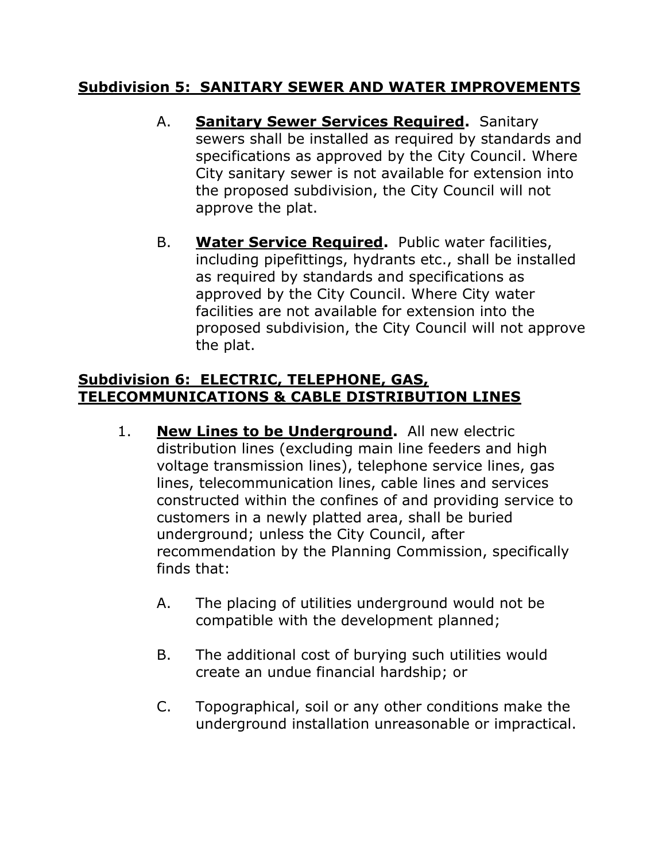#### **Subdivision 5: SANITARY SEWER AND WATER IMPROVEMENTS**

- A. **Sanitary Sewer Services Required.** Sanitary sewers shall be installed as required by standards and specifications as approved by the City Council. Where City sanitary sewer is not available for extension into the proposed subdivision, the City Council will not approve the plat.
- B. **Water Service Required.** Public water facilities, including pipefittings, hydrants etc., shall be installed as required by standards and specifications as approved by the City Council. Where City water facilities are not available for extension into the proposed subdivision, the City Council will not approve the plat.

### **Subdivision 6: ELECTRIC, TELEPHONE, GAS, TELECOMMUNICATIONS & CABLE DISTRIBUTION LINES**

- 1. **New Lines to be Underground.** All new electric distribution lines (excluding main line feeders and high voltage transmission lines), telephone service lines, gas lines, telecommunication lines, cable lines and services constructed within the confines of and providing service to customers in a newly platted area, shall be buried underground; unless the City Council, after recommendation by the Planning Commission, specifically finds that:
	- A. The placing of utilities underground would not be compatible with the development planned;
	- B. The additional cost of burying such utilities would create an undue financial hardship; or
	- C. Topographical, soil or any other conditions make the underground installation unreasonable or impractical.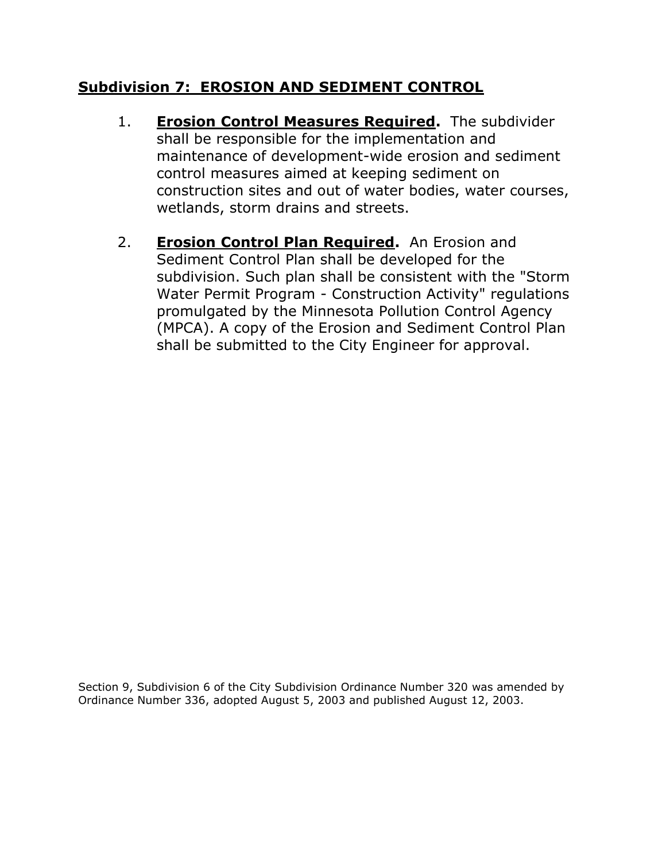#### **Subdivision 7: EROSION AND SEDIMENT CONTROL**

- 1. **Erosion Control Measures Required.** The subdivider shall be responsible for the implementation and maintenance of development-wide erosion and sediment control measures aimed at keeping sediment on construction sites and out of water bodies, water courses, wetlands, storm drains and streets.
- 2. **Erosion Control Plan Required.** An Erosion and Sediment Control Plan shall be developed for the subdivision. Such plan shall be consistent with the "Storm Water Permit Program - Construction Activity" regulations promulgated by the Minnesota Pollution Control Agency (MPCA). A copy of the Erosion and Sediment Control Plan shall be submitted to the City Engineer for approval.

Section 9, Subdivision 6 of the City Subdivision Ordinance Number 320 was amended by Ordinance Number 336, adopted August 5, 2003 and published August 12, 2003.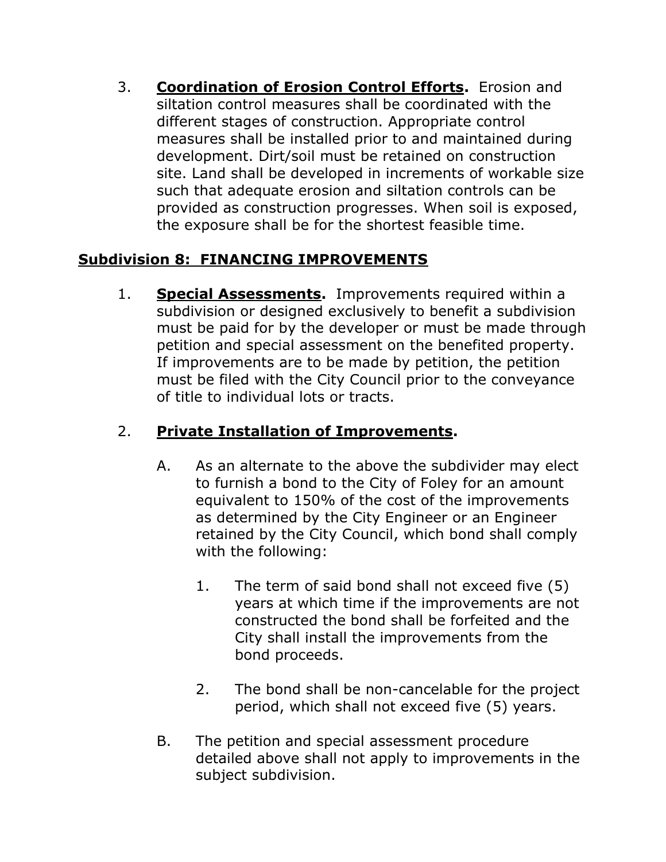3. **Coordination of Erosion Control Efforts.** Erosion and siltation control measures shall be coordinated with the different stages of construction. Appropriate control measures shall be installed prior to and maintained during development. Dirt/soil must be retained on construction site. Land shall be developed in increments of workable size such that adequate erosion and siltation controls can be provided as construction progresses. When soil is exposed, the exposure shall be for the shortest feasible time.

## **Subdivision 8: FINANCING IMPROVEMENTS**

1. **Special Assessments.** Improvements required within a subdivision or designed exclusively to benefit a subdivision must be paid for by the developer or must be made through petition and special assessment on the benefited property. If improvements are to be made by petition, the petition must be filed with the City Council prior to the conveyance of title to individual lots or tracts.

# 2. **Private Installation of Improvements.**

- A. As an alternate to the above the subdivider may elect to furnish a bond to the City of Foley for an amount equivalent to 150% of the cost of the improvements as determined by the City Engineer or an Engineer retained by the City Council, which bond shall comply with the following:
	- 1. The term of said bond shall not exceed five (5) years at which time if the improvements are not constructed the bond shall be forfeited and the City shall install the improvements from the bond proceeds.
	- 2. The bond shall be non-cancelable for the project period, which shall not exceed five (5) years.
- B. The petition and special assessment procedure detailed above shall not apply to improvements in the subject subdivision.